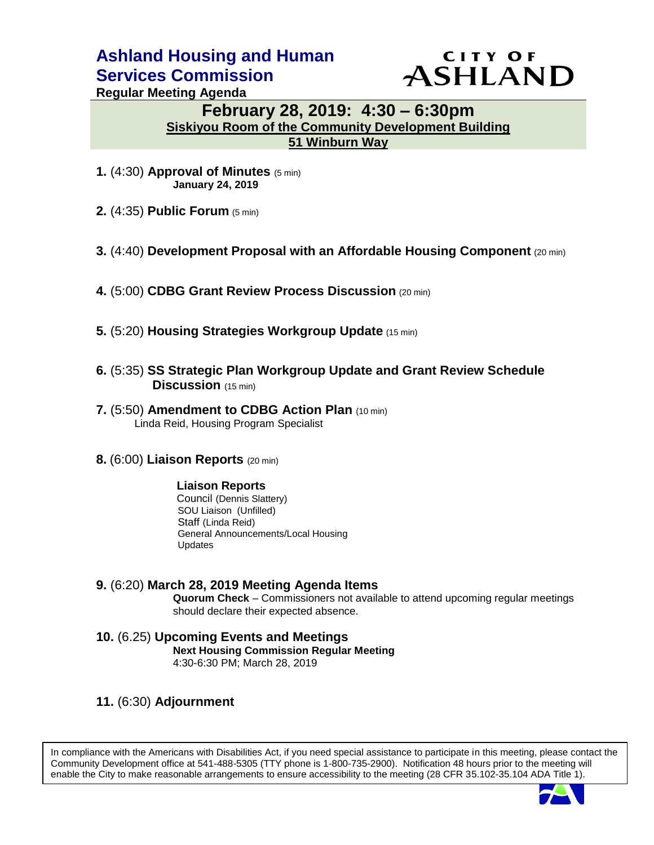### **Ashland Housing and Human Services Commission**

## **CITY OF ASHLAND**

**Regular Meeting Agenda** 

### **February 28, 2019: 4:30 – 6:30pm Siskiyou Room of the Community Development Building 51 Winburn Way**

- **1.** (4:30) **Approval of Minutes** (5 min) **January 24, 2019**
- **2.** (4:35) **Public Forum** (5 min)
- **3.** (4:40) **Development Proposal with an Affordable Housing Component** (20 min)
- **4.** (5:00) **CDBG Grant Review Process Discussion** (20 min)
- **5.** (5:20) **Housing Strategies Workgroup Update** (15 min)
- **6.** (5:35) **SS Strategic Plan Workgroup Update and Grant Review Schedule Discussion** (15 min)
- **7.** (5:50) **Amendment to CDBG Action Plan** (10 min) Linda Reid, Housing Program Specialist
- **8.** (6:00) **Liaison Reports** (20 min)

#### **Liaison Reports**

Council (Dennis Slattery) SOU Liaison (Unfilled) Staff (Linda Reid) General Announcements/Local Housing Updates

- **9.** (6:20) **March 28, 2019 Meeting Agenda Items Quorum Check** – Commissioners not available to attend upcoming regular meetings should declare their expected absence.
- **10.** (6.25) **Upcoming Events and Meetings Next Housing Commission Regular Meeting** 4:30-6:30 PM; March 28, 2019
- **11.** (6:30) **Adjournment**

In compliance with the Americans with Disabilities Act, if you need special assistance to participate in this meeting, please contact the Community Development office at 541-488-5305 (TTY phone is 1-800-735-2900). Notification 48 hours prior to the meeting will enable the City to make reasonable arrangements to ensure accessibility to the meeting (28 CFR 35.102-35.104 ADA Title 1).

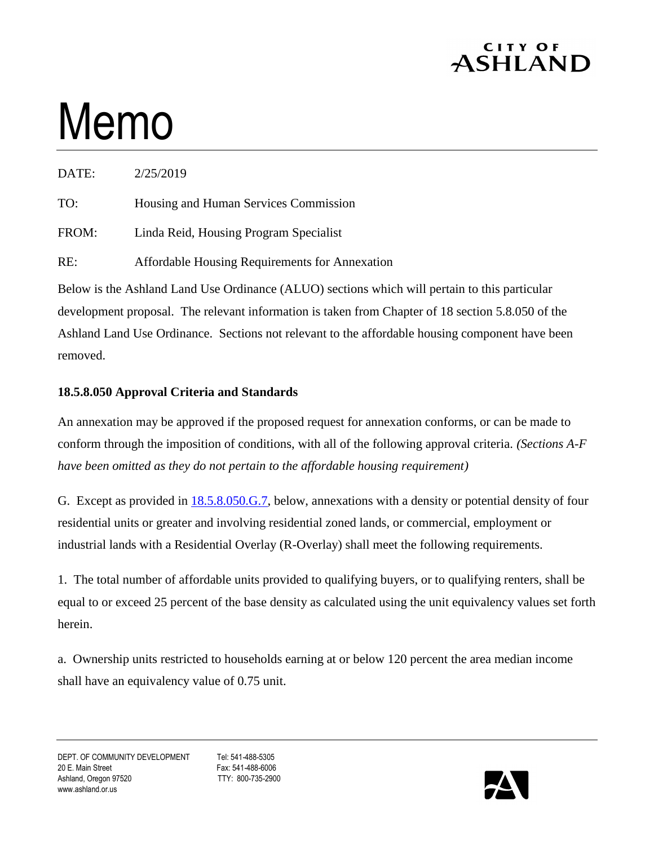

DATE: 2/25/2019 TO: Housing and Human Services Commission FROM: Linda Reid, Housing Program Specialist RE: Affordable Housing Requirements for Annexation

Below is the Ashland Land Use Ordinance (ALUO) sections which will pertain to this particular development proposal. The relevant information is taken from Chapter of 18 section 5.8.050 of the Ashland Land Use Ordinance. Sections not relevant to the affordable housing component have been removed.

#### **18.5.8.050 Approval Criteria and Standards**

An annexation may be approved if the proposed request for annexation conforms, or can be made to conform through the imposition of conditions, with all of the following approval criteria. *(Sections A-F have been omitted as they do not pertain to the affordable housing requirement)*

G. Except as provided in [18.5.8.050.G.7,](https://ashland.municipal.codes/LandUse/18.5.8.050.G.7) below, annexations with a density or potential density of four residential units or greater and involving residential zoned lands, or commercial, employment or industrial lands with a Residential Overlay (R-Overlay) shall meet the following requirements.

1. The total number of affordable units provided to qualifying buyers, or to qualifying renters, shall be equal to or exceed 25 percent of the base density as calculated using the unit equivalency values set forth herein.

a. Ownership units restricted to households earning at or below 120 percent the area median income shall have an equivalency value of 0.75 unit.

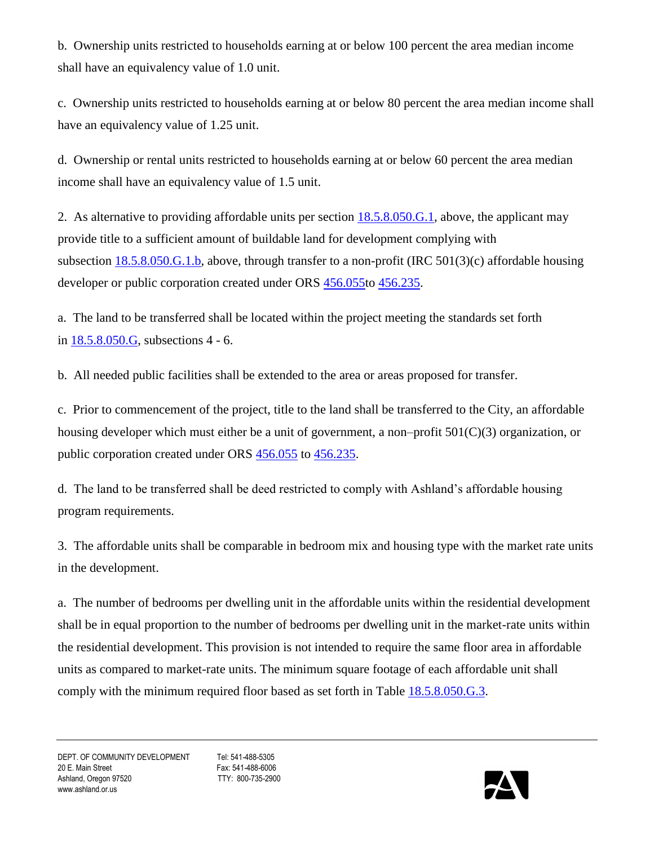b. Ownership units restricted to households earning at or below 100 percent the area median income shall have an equivalency value of 1.0 unit.

c. Ownership units restricted to households earning at or below 80 percent the area median income shall have an equivalency value of 1.25 unit.

d. Ownership or rental units restricted to households earning at or below 60 percent the area median income shall have an equivalency value of 1.5 unit.

2. As alternative to providing affordable units per section [18.5.8.050.G.1,](https://ashland.municipal.codes/LandUse/18.5.8.050.G.1) above, the applicant may provide title to a sufficient amount of buildable land for development complying with subsection [18.5.8.050.G.1.b,](https://ashland.municipal.codes/LandUse/18.5.8.050.G.1.b) above, through transfer to a non-profit (IRC 501(3)(c) affordable housing developer or public corporation created under ORS [456.055t](https://ashland.municipal.codes/OR/ORS/456.055)o [456.235.](https://ashland.municipal.codes/OR/ORS/456.235)

a. The land to be transferred shall be located within the project meeting the standards set forth in [18.5.8.050.G,](https://ashland.municipal.codes/LandUse/18.5.8.050.G) subsections 4 - 6.

b. All needed public facilities shall be extended to the area or areas proposed for transfer.

c. Prior to commencement of the project, title to the land shall be transferred to the City, an affordable housing developer which must either be a unit of government, a non–profit 501(C)(3) organization, or public corporation created under ORS [456.055](https://ashland.municipal.codes/OR/ORS/456.055) to [456.235.](https://ashland.municipal.codes/OR/ORS/456.235)

d. The land to be transferred shall be deed restricted to comply with Ashland's affordable housing program requirements.

3. The affordable units shall be comparable in bedroom mix and housing type with the market rate units in the development.

a. The number of bedrooms per dwelling unit in the affordable units within the residential development shall be in equal proportion to the number of bedrooms per dwelling unit in the market-rate units within the residential development. This provision is not intended to require the same floor area in affordable units as compared to market-rate units. The minimum square footage of each affordable unit shall comply with the minimum required floor based as set forth in Table [18.5.8.050.G.3.](https://ashland.municipal.codes/LandUse/18.5.8.050.G.3.a#Table18.5.8.050.G.3)

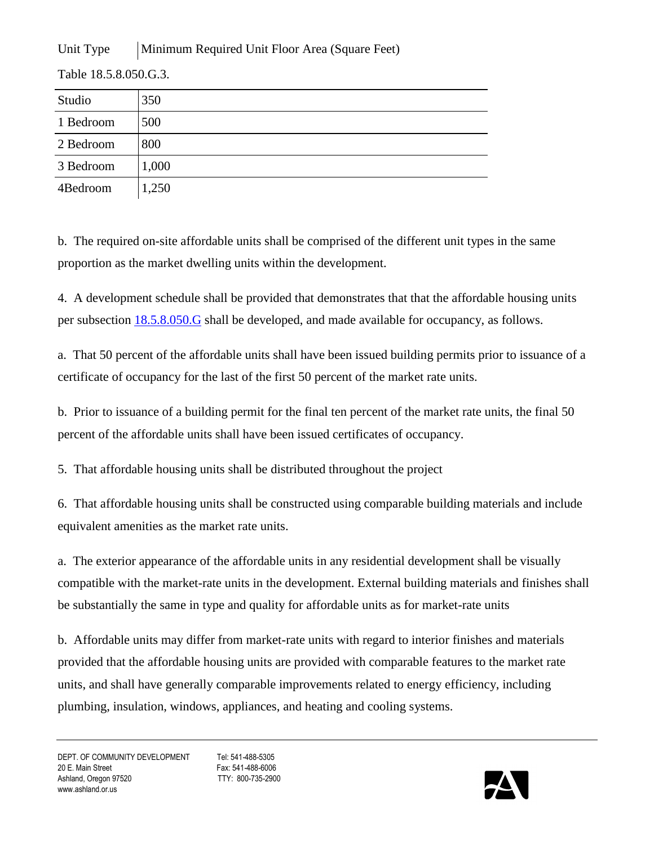#### Unit Type Minimum Required Unit Floor Area (Square Feet)

| 1 adje 10.3.0.0.00.0.3. |       |
|-------------------------|-------|
| Studio                  | 350   |
| 1 Bedroom               | 500   |
| 2 Bedroom               | 800   |
| 3 Bedroom               | 1,000 |
| 4Bedroom                | 1,250 |

Table 18.5.8.050.G.3.

b. The required on-site affordable units shall be comprised of the different unit types in the same proportion as the market dwelling units within the development.

4. A development schedule shall be provided that demonstrates that that the affordable housing units per subsection [18.5.8.050.G](https://ashland.municipal.codes/LandUse/18.5.8.050.G) shall be developed, and made available for occupancy, as follows.

a. That 50 percent of the affordable units shall have been issued building permits prior to issuance of a certificate of occupancy for the last of the first 50 percent of the market rate units.

b. Prior to issuance of a building permit for the final ten percent of the market rate units, the final 50 percent of the affordable units shall have been issued certificates of occupancy.

5. That affordable housing units shall be distributed throughout the project

6. That affordable housing units shall be constructed using comparable building materials and include equivalent amenities as the market rate units.

a. The exterior appearance of the affordable units in any residential development shall be visually compatible with the market-rate units in the development. External building materials and finishes shall be substantially the same in type and quality for affordable units as for market-rate units

b. Affordable units may differ from market-rate units with regard to interior finishes and materials provided that the affordable housing units are provided with comparable features to the market rate units, and shall have generally comparable improvements related to energy efficiency, including plumbing, insulation, windows, appliances, and heating and cooling systems.

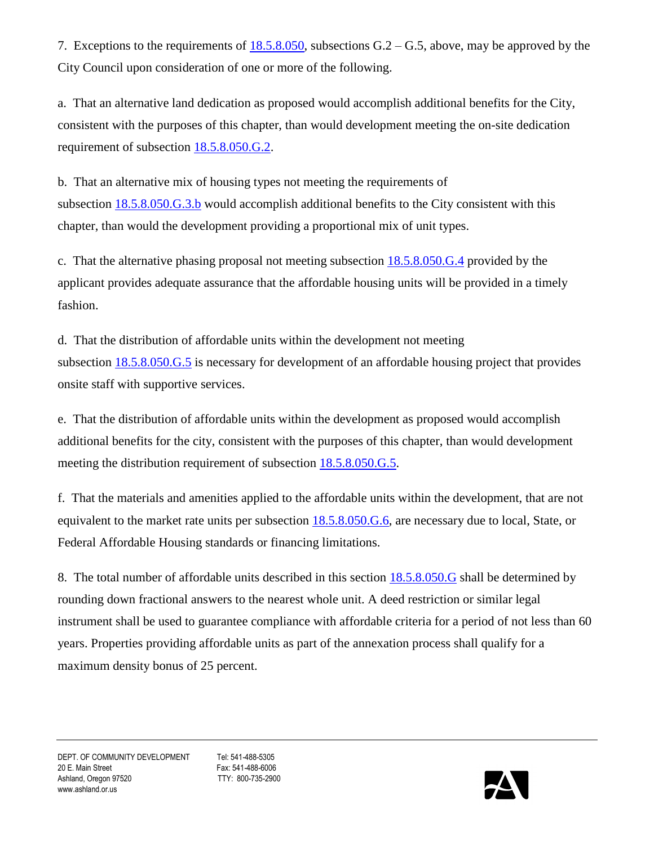7. Exceptions to the requirements of  $18.5.8.050$ , subsections  $G.2 - G.5$ , above, may be approved by the City Council upon consideration of one or more of the following.

a. That an alternative land dedication as proposed would accomplish additional benefits for the City, consistent with the purposes of this chapter, than would development meeting the on-site dedication requirement of subsection [18.5.8.050.G.2.](https://ashland.municipal.codes/LandUse/18.5.8.050.G.2)

b. That an alternative mix of housing types not meeting the requirements of subsection [18.5.8.050.G.3.b](https://ashland.municipal.codes/LandUse/18.5.8.050.G.3.b) would accomplish additional benefits to the City consistent with this chapter, than would the development providing a proportional mix of unit types.

c. That the alternative phasing proposal not meeting subsection [18.5.8.050.G.4](https://ashland.municipal.codes/LandUse/18.5.8.050.G.4) provided by the applicant provides adequate assurance that the affordable housing units will be provided in a timely fashion.

d. That the distribution of affordable units within the development not meeting subsection [18.5.8.050.G.5](https://ashland.municipal.codes/LandUse/18.5.8.050.G.5) is necessary for development of an affordable housing project that provides onsite staff with supportive services.

e. That the distribution of affordable units within the development as proposed would accomplish additional benefits for the city, consistent with the purposes of this chapter, than would development meeting the distribution requirement of subsection [18.5.8.050.G.5.](https://ashland.municipal.codes/LandUse/18.5.8.050.G.5)

f. That the materials and amenities applied to the affordable units within the development, that are not equivalent to the market rate units per subsection [18.5.8.050.G.6,](https://ashland.municipal.codes/LandUse/18.5.8.050.G.6) are necessary due to local, State, or Federal Affordable Housing standards or financing limitations.

8. The total number of affordable units described in this section [18.5.8.050.G](https://ashland.municipal.codes/LandUse/18.5.8.050.G) shall be determined by rounding down fractional answers to the nearest whole unit. A deed restriction or similar legal instrument shall be used to guarantee compliance with affordable criteria for a period of not less than 60 years. Properties providing affordable units as part of the annexation process shall qualify for a maximum density bonus of 25 percent.

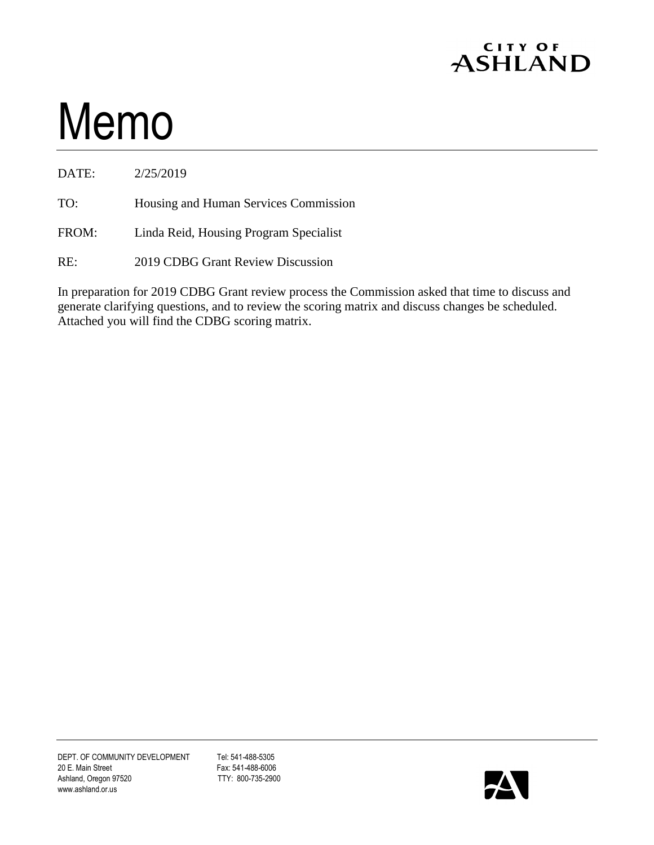

DATE: 2/25/2019

TO: Housing and Human Services Commission

FROM: Linda Reid, Housing Program Specialist

RE: 2019 CDBG Grant Review Discussion

In preparation for 2019 CDBG Grant review process the Commission asked that time to discuss and generate clarifying questions, and to review the scoring matrix and discuss changes be scheduled. Attached you will find the CDBG scoring matrix.

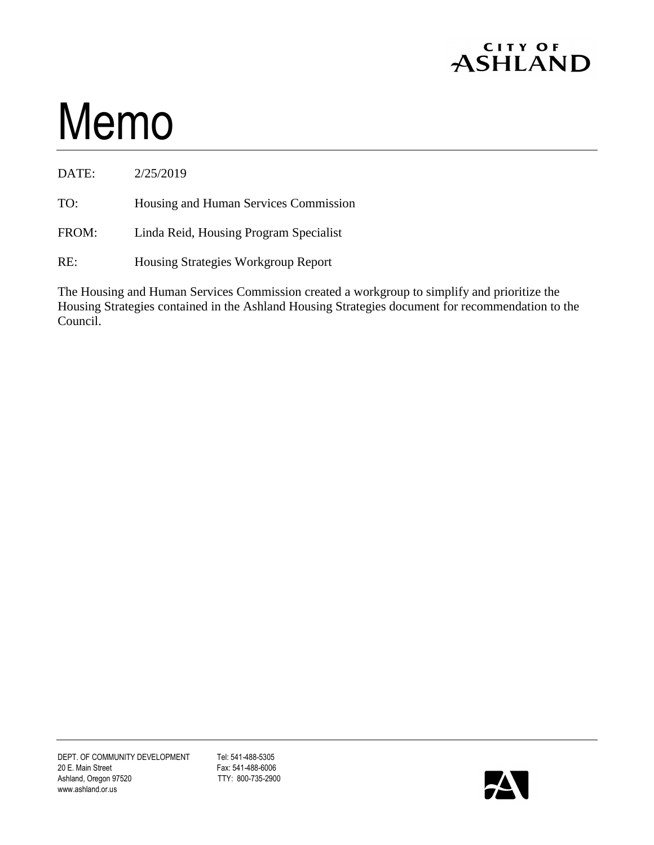

DATE: 2/25/2019

TO: Housing and Human Services Commission

FROM: Linda Reid, Housing Program Specialist

RE: Housing Strategies Workgroup Report

The Housing and Human Services Commission created a workgroup to simplify and prioritize the Housing Strategies contained in the Ashland Housing Strategies document for recommendation to the Council.

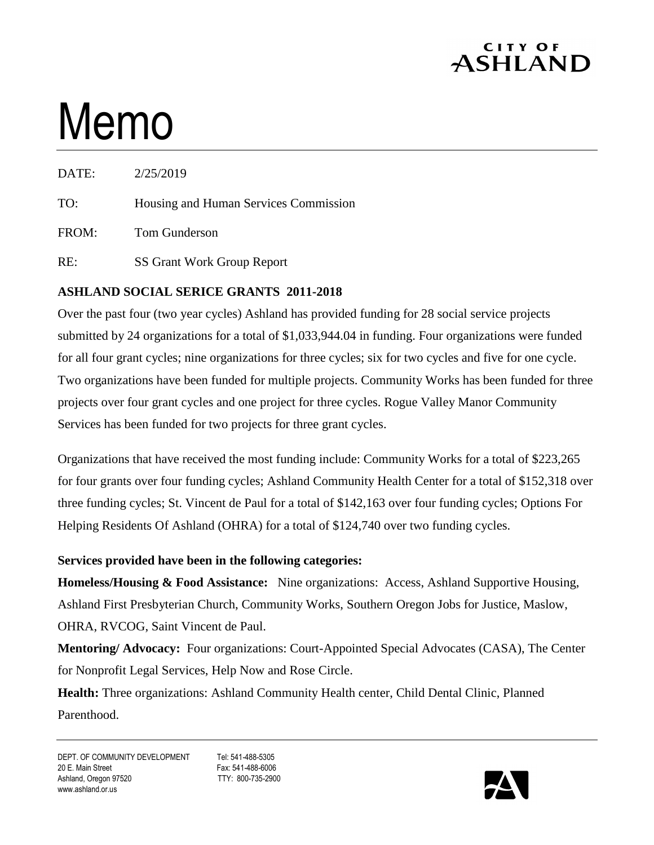

DATE: 2/25/2019 TO: Housing and Human Services Commission FROM: Tom Gunderson RE: SS Grant Work Group Report

#### **ASHLAND SOCIAL SERICE GRANTS 2011-2018**

Over the past four (two year cycles) Ashland has provided funding for 28 social service projects submitted by 24 organizations for a total of \$1,033,944.04 in funding. Four organizations were funded for all four grant cycles; nine organizations for three cycles; six for two cycles and five for one cycle. Two organizations have been funded for multiple projects. Community Works has been funded for three projects over four grant cycles and one project for three cycles. Rogue Valley Manor Community Services has been funded for two projects for three grant cycles.

Organizations that have received the most funding include: Community Works for a total of \$223,265 for four grants over four funding cycles; Ashland Community Health Center for a total of \$152,318 over three funding cycles; St. Vincent de Paul for a total of \$142,163 over four funding cycles; Options For Helping Residents Of Ashland (OHRA) for a total of \$124,740 over two funding cycles.

#### **Services provided have been in the following categories:**

**Homeless/Housing & Food Assistance:** Nine organizations: Access, Ashland Supportive Housing, Ashland First Presbyterian Church, Community Works, Southern Oregon Jobs for Justice, Maslow, OHRA, RVCOG, Saint Vincent de Paul.

**Mentoring/ Advocacy:** Four organizations: Court-Appointed Special Advocates (CASA), The Center for Nonprofit Legal Services, Help Now and Rose Circle.

**Health:** Three organizations: Ashland Community Health center, Child Dental Clinic, Planned Parenthood.

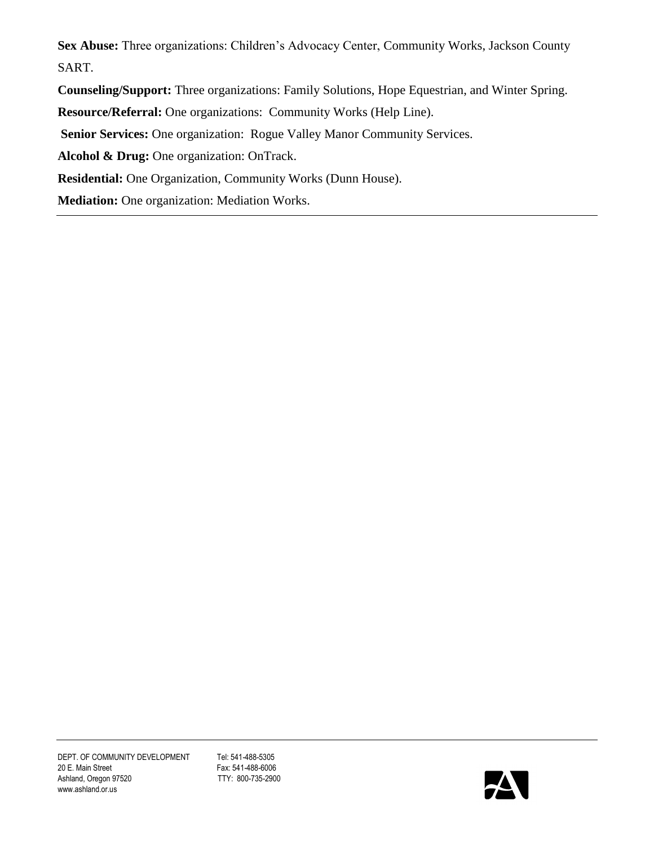**Sex Abuse:** Three organizations: Children's Advocacy Center, Community Works, Jackson County SART.

**Counseling/Support:** Three organizations: Family Solutions, Hope Equestrian, and Winter Spring. **Resource/Referral:** One organizations: Community Works (Help Line). **Senior Services:** One organization: Rogue Valley Manor Community Services. **Alcohol & Drug:** One organization: OnTrack. **Residential:** One Organization, Community Works (Dunn House).

**Mediation:** One organization: Mediation Works.

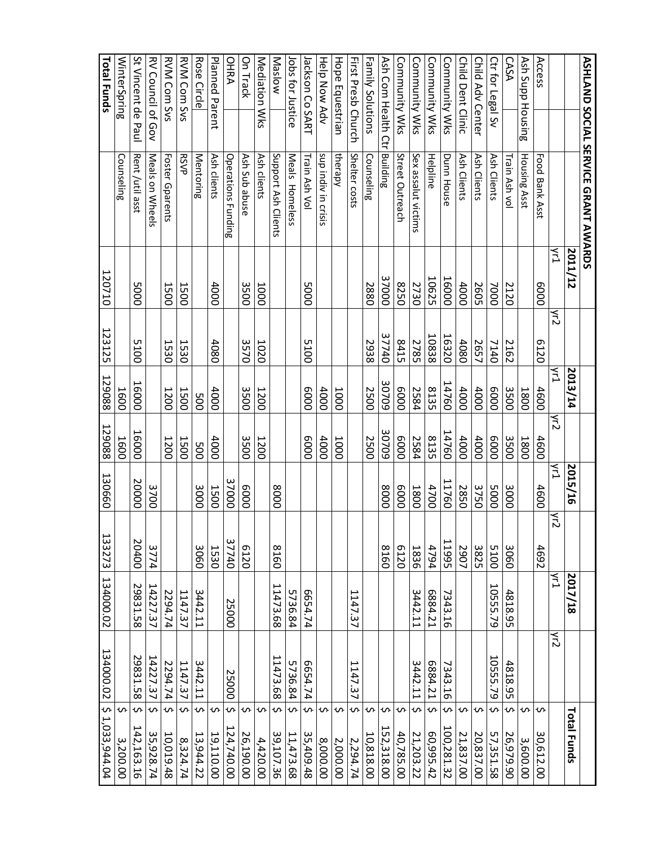|                          | <b>ASHLAND SOCIAL SERVICE GRANT AWARDS</b> |             |                  |            |            |         |                   |           |            |                              |
|--------------------------|--------------------------------------------|-------------|------------------|------------|------------|---------|-------------------|-----------|------------|------------------------------|
|                          |                                            | 2011/12     |                  | 2013/14    |            | 2015/16 |                   | 2017/18   |            | Total Funds                  |
|                          |                                            | λr1         | $\overline{1}$   | Уr1        | $\lesssim$ | λή      | $\overline{1/12}$ | ΣŃ        | $\lesssim$ |                              |
| Access                   | Food Bank Asst                             | 0009        | 6120             | 4600       | 4600       | 4600    | 4692              |           |            | S<br>30,612.00               |
| Ash Supp Housing         | <b>Housing Asst</b>                        |             |                  | 1800       | 1800       |         |                   |           |            | Ċ<br>3,600.00                |
| <b>CASA</b>              | Train Ash vol                              | 2120        | 2162             | 3500       | 3500       | 3000    | 3060              | 4818.95   | 4818.95    | Ş<br>26,979.90               |
| Ctr for Legal Sv         | Ash Clients                                | 7000        | 7140             | 0009       | 0009       | 0005    | 5100              | 10555.79  | 10555.79   | $\mathfrak{c}$<br>57,351.58  |
| Child Adv Center         | Ash Clients                                | <b>2605</b> | 2657             | 4000       | 4000       | 3750    | 3825              |           |            | Ş<br>20,837.00               |
| <b>Child Dent Clinic</b> | Ash Clients                                | 4000        | 4080             | 4000       | 4000       | 2850    | 2907              |           |            | $\mathbf{v}$<br>21,837.00    |
| Community Wks            | Dunn House                                 | 16000       | 16320            | 14760      | 14760      | 11760   | 11995             | 7343.16   | 7343.16    | $\mathfrak{c}$<br>100,281.32 |
| Community Wks            | Helpline                                   | 10625       | 10838            | 8135       | 8135       | 4700    | 4794              | 6884.21   | 6884.21    | $\mathfrak{c}$<br>60,995.42  |
| Community Wks            | Sex assalut victims                        | 2730        | <b>2785</b>      | 2584       | 2584       | 1800    | 1836              | 1442.11   | 142.11     | Ş<br>21,203.22               |
| Community Wks            | Street Outreach                            | 8250        | S <sub>115</sub> | 0009       | 0009       | 0009    | 6120              |           |            | $\mathsf{v}$<br>40,785.00    |
| Ash Com Health Ctr       | <b>Building</b>                            | 37000       | 37740            | 30709      | 30709      | 0008    | 8160              |           |            | S<br>152,318.00              |
| Family Solutions         | Counseling                                 | 2880        | 2938             | 2500       | 2500       |         |                   |           |            | S.<br>10,818.00              |
| First Presb Church       | Shelter costs                              |             |                  |            |            |         |                   | 1147.37   | 1147.37    | S<br>2,294.74                |
| Hope Equestrian          | therapy                                    |             |                  | 1000       | 1000       |         |                   |           |            | Ş<br>2,000.00                |
| Help Now Adv             | sup indiv in crisis                        |             |                  | 4000       | 4000       |         |                   |           |            | ¢<br>8,000.00                |
| Jackson Co SART          | Train Ash Vol                              | 0005        | 0015             | 0009       | 0009       |         |                   | 6654.74   | 6654.74    | $\mathbf{v}$<br>35,409.48    |
| Jobs for Justice         | Meals Homeless                             |             |                  |            |            |         |                   | 5736.84   | 5736.84    | $\mathbf{v}$<br>11,473.68    |
| MolseM                   | Support Ash Clients                        |             |                  |            |            | 0008    | 8160              | 11473.68  | 11473.68   | S<br>39,107.36               |
| Mediation Wks            | Ash clients                                | 1000        | 1020             | 1200       | 1200       |         |                   |           |            | $\mathfrak{c}$<br>4,420.00   |
| On Track                 | Ash Sub abuse                              | 3500        | 3570             | 3500       | 3500       | 0009    | 6120              |           |            | S<br>26,190.00               |
| <b>OHRA</b>              | Operations Funding                         |             |                  |            |            | 37000   | 37740             | 25000     | 25000      | $\sim$<br>124,740.00         |
| <b>Planned Parent</b>    | Ash clients                                | 4000        | 4080             | 4000       | 4000       | 1500    | 1530              |           |            | $\Omega$<br>19,110.00        |
| Rose Circle              | Mentoring                                  |             |                  | <b>500</b> | <b>500</b> | 3000    | 3060              | 3442.11   | 1442.11    | $\mathfrak{c}$<br>13,944.22  |
| <b>RVM Com Svs</b>       | <b>RSVP</b>                                | 1500        | 1530             | 1500       | 1500       |         |                   | 1147.37   | 1147.37    | $\mathfrak{c}$<br>8,324.74   |
| <b>RVM Com Svs</b>       | Foster Gparents                            | 1500        | 1530             | 1200       | 1200       |         |                   | 2294.74   | 2294.74    | $\mathfrak{c}$<br>10,019.48  |
| RV Council of Gov        | Meals on Wheels                            |             |                  |            |            | 3700    | 3774              | 14227.37  | 14227.37   | $\frac{1}{2}$<br>35,928.74   |
| St Vincent de Paul       | Rent /util asst                            | 0005        | 0015             | 16000      | 16000      | 20000   | 20400             | 29831.58  | 29831.58   | $\mathsf{C}$<br>142,163.16   |
| <b>WinterSpring</b>      | Counseling                                 |             |                  | 1600       | 1600       |         |                   |           |            | S<br>3,200.00                |
| <b>Total Funds</b>       |                                            | 120710      | 123125           | 129088     | 129088     | 130660  | 133273            | 134000.02 | 134000.02  | $\mathsf{L}$<br>1,033,944.04 |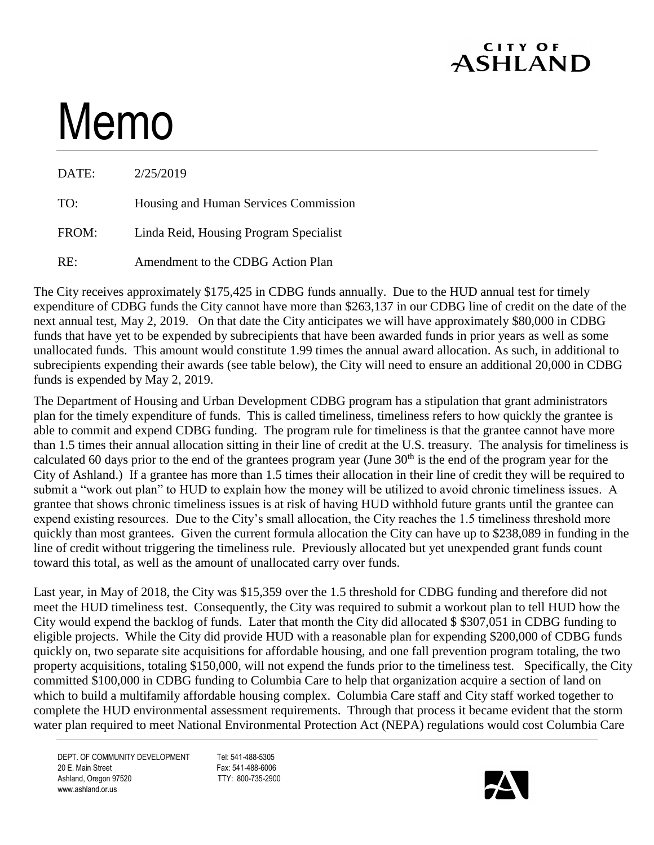

DATE: 2/25/2019 TO: Housing and Human Services Commission FROM: Linda Reid, Housing Program Specialist RE: Amendment to the CDBG Action Plan

The City receives approximately \$175,425 in CDBG funds annually. Due to the HUD annual test for timely expenditure of CDBG funds the City cannot have more than \$263,137 in our CDBG line of credit on the date of the next annual test, May 2, 2019. On that date the City anticipates we will have approximately \$80,000 in CDBG funds that have yet to be expended by subrecipients that have been awarded funds in prior years as well as some unallocated funds. This amount would constitute 1.99 times the annual award allocation. As such, in additional to subrecipients expending their awards (see table below), the City will need to ensure an additional 20,000 in CDBG funds is expended by May 2, 2019.

The Department of Housing and Urban Development CDBG program has a stipulation that grant administrators plan for the timely expenditure of funds. This is called timeliness, timeliness refers to how quickly the grantee is able to commit and expend CDBG funding. The program rule for timeliness is that the grantee cannot have more than 1.5 times their annual allocation sitting in their line of credit at the U.S. treasury. The analysis for timeliness is calculated 60 days prior to the end of the grantees program year (June  $30<sup>th</sup>$  is the end of the program year for the City of Ashland.) If a grantee has more than 1.5 times their allocation in their line of credit they will be required to submit a "work out plan" to HUD to explain how the money will be utilized to avoid chronic timeliness issues. A grantee that shows chronic timeliness issues is at risk of having HUD withhold future grants until the grantee can expend existing resources. Due to the City's small allocation, the City reaches the 1.5 timeliness threshold more quickly than most grantees. Given the current formula allocation the City can have up to \$238,089 in funding in the line of credit without triggering the timeliness rule. Previously allocated but yet unexpended grant funds count toward this total, as well as the amount of unallocated carry over funds.

Last year, in May of 2018, the City was \$15,359 over the 1.5 threshold for CDBG funding and therefore did not meet the HUD timeliness test. Consequently, the City was required to submit a workout plan to tell HUD how the City would expend the backlog of funds. Later that month the City did allocated \$ \$307,051 in CDBG funding to eligible projects. While the City did provide HUD with a reasonable plan for expending \$200,000 of CDBG funds quickly on, two separate site acquisitions for affordable housing, and one fall prevention program totaling, the two property acquisitions, totaling \$150,000, will not expend the funds prior to the timeliness test. Specifically, the City committed \$100,000 in CDBG funding to Columbia Care to help that organization acquire a section of land on which to build a multifamily affordable housing complex. Columbia Care staff and City staff worked together to complete the HUD environmental assessment requirements. Through that process it became evident that the storm water plan required to meet National Environmental Protection Act (NEPA) regulations would cost Columbia Care